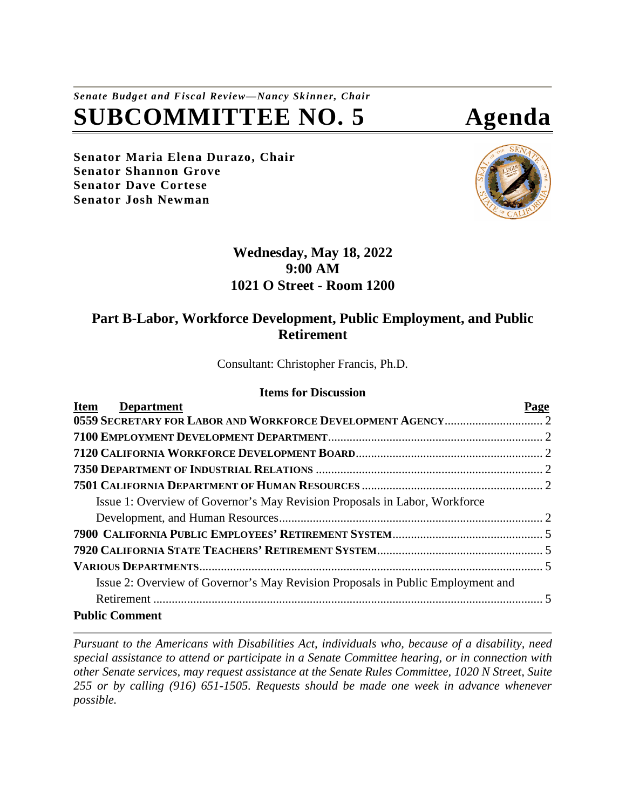# *Senate Budget and Fiscal Review—Nancy Skinner, Chair* **SUBCOMMITTEE NO. 5 Agenda**

**Senator Maria Elena Durazo, Chair Senator Shannon Grove Senator Dave Cortese Senator Josh Newman**



## **Wednesday, May 18, 2022 9:00 AM 1021 O Street - Room 1200**

## **Part B-Labor, Workforce Development, Public Employment, and Public Retirement**

Consultant: Christopher Francis, Ph.D.

#### **Items for Discussion**

| <b>Department</b><br><b>Item</b>                                                | Page |
|---------------------------------------------------------------------------------|------|
|                                                                                 |      |
|                                                                                 |      |
|                                                                                 |      |
|                                                                                 |      |
|                                                                                 |      |
| Issue 1: Overview of Governor's May Revision Proposals in Labor, Workforce      |      |
|                                                                                 |      |
|                                                                                 |      |
|                                                                                 |      |
|                                                                                 |      |
| Issue 2: Overview of Governor's May Revision Proposals in Public Employment and |      |
|                                                                                 |      |
| <b>Public Comment</b>                                                           |      |

*Pursuant to the Americans with Disabilities Act, individuals who, because of a disability, need special assistance to attend or participate in a Senate Committee hearing, or in connection with other Senate services, may request assistance at the Senate Rules Committee, 1020 N Street, Suite 255 or by calling (916) 651-1505. Requests should be made one week in advance whenever possible.*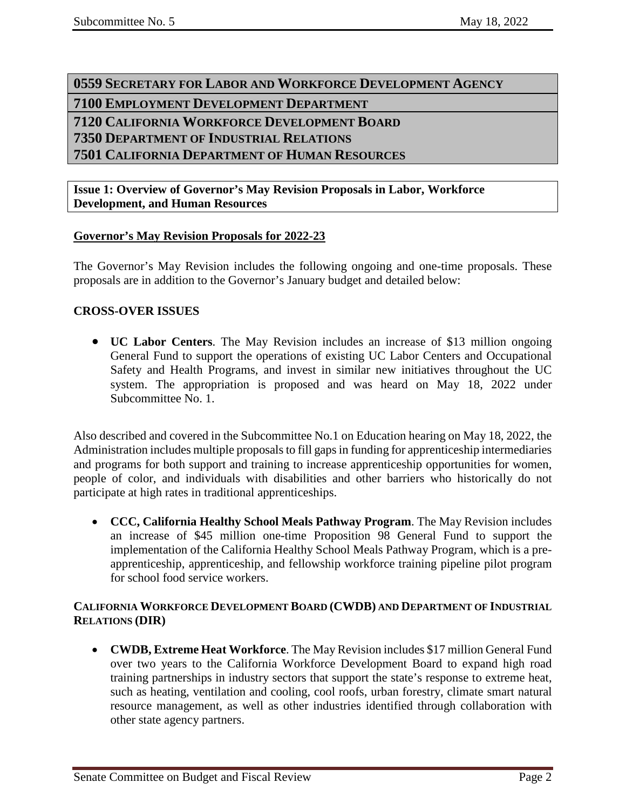<span id="page-1-2"></span><span id="page-1-1"></span><span id="page-1-0"></span> **SECRETARY FOR LABOR AND WORKFORCE DEVELOPMENT AGENCY EMPLOYMENT DEVELOPMENT DEPARTMENT CALIFORNIA WORKFORCE DEVELOPMENT BOARD DEPARTMENT OF INDUSTRIAL RELATIONS CALIFORNIA DEPARTMENT OF HUMAN RESOURCES** 

<span id="page-1-5"></span><span id="page-1-4"></span><span id="page-1-3"></span>**Issue 1: Overview of Governor's May Revision Proposals in Labor, Workforce Development, and Human Resources**

#### **Governor's May Revision Proposals for 2022-23**

The Governor's May Revision includes the following ongoing and one-time proposals. These proposals are in addition to the Governor's January budget and detailed below:

#### **CROSS-OVER ISSUES**

• **UC Labor Centers**. The May Revision includes an increase of \$13 million ongoing General Fund to support the operations of existing UC Labor Centers and Occupational Safety and Health Programs, and invest in similar new initiatives throughout the UC system. The appropriation is proposed and was heard on May 18, 2022 under Subcommittee No. 1.

Also described and covered in the Subcommittee No.1 on Education hearing on May 18, 2022, the Administration includes multiple proposals to fill gaps in funding for apprenticeship intermediaries and programs for both support and training to increase apprenticeship opportunities for women, people of color, and individuals with disabilities and other barriers who historically do not participate at high rates in traditional apprenticeships.

• **CCC, California Healthy School Meals Pathway Program**. The May Revision includes an increase of \$45 million one-time Proposition 98 General Fund to support the implementation of the California Healthy School Meals Pathway Program, which is a preapprenticeship, apprenticeship, and fellowship workforce training pipeline pilot program for school food service workers.

#### **CALIFORNIA WORKFORCE DEVELOPMENT BOARD (CWDB) AND DEPARTMENT OF INDUSTRIAL RELATIONS (DIR)**

• **CWDB, Extreme Heat Workforce**. The May Revision includes \$17 million General Fund over two years to the California Workforce Development Board to expand high road training partnerships in industry sectors that support the state's response to extreme heat, such as heating, ventilation and cooling, cool roofs, urban forestry, climate smart natural resource management, as well as other industries identified through collaboration with other state agency partners.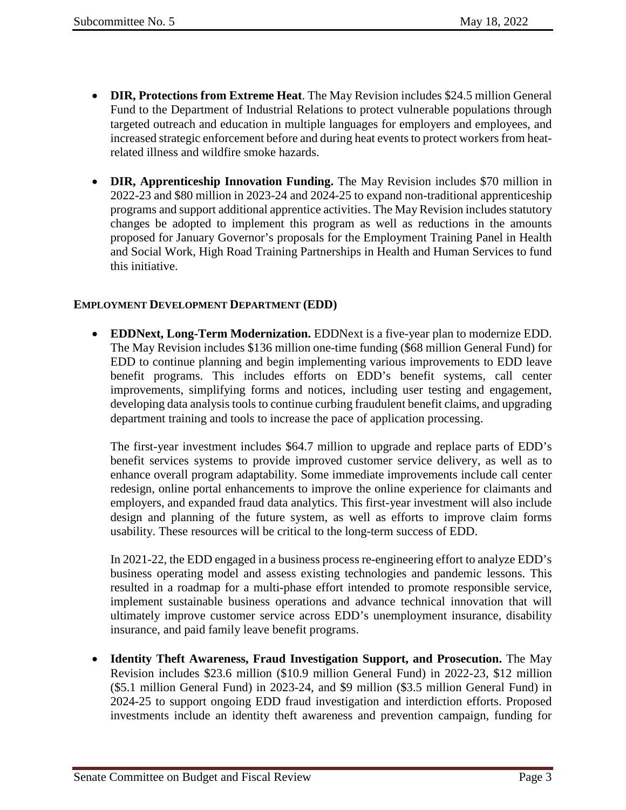- **DIR, Protections from Extreme Heat**. The May Revision includes \$24.5 million General Fund to the Department of Industrial Relations to protect vulnerable populations through targeted outreach and education in multiple languages for employers and employees, and increased strategic enforcement before and during heat events to protect workers from heatrelated illness and wildfire smoke hazards.
- **DIR, Apprenticeship Innovation Funding.** The May Revision includes \$70 million in 2022-23 and \$80 million in 2023-24 and 2024-25 to expand non-traditional apprenticeship programs and support additional apprentice activities. The May Revision includes statutory changes be adopted to implement this program as well as reductions in the amounts proposed for January Governor's proposals for the Employment Training Panel in Health and Social Work, High Road Training Partnerships in Health and Human Services to fund this initiative.

### **EMPLOYMENT DEVELOPMENT DEPARTMENT (EDD)**

• **EDDNext, Long-Term Modernization.** EDDNext is a five-year plan to modernize EDD. The May Revision includes \$136 million one-time funding (\$68 million General Fund) for EDD to continue planning and begin implementing various improvements to EDD leave benefit programs. This includes efforts on EDD's benefit systems, call center improvements, simplifying forms and notices, including user testing and engagement, developing data analysis tools to continue curbing fraudulent benefit claims, and upgrading department training and tools to increase the pace of application processing.

The first-year investment includes \$64.7 million to upgrade and replace parts of EDD's benefit services systems to provide improved customer service delivery, as well as to enhance overall program adaptability. Some immediate improvements include call center redesign, online portal enhancements to improve the online experience for claimants and employers, and expanded fraud data analytics. This first-year investment will also include design and planning of the future system, as well as efforts to improve claim forms usability. These resources will be critical to the long-term success of EDD.

In 2021-22, the EDD engaged in a business process re-engineering effort to analyze EDD's business operating model and assess existing technologies and pandemic lessons. This resulted in a roadmap for a multi-phase effort intended to promote responsible service, implement sustainable business operations and advance technical innovation that will ultimately improve customer service across EDD's unemployment insurance, disability insurance, and paid family leave benefit programs.

• **Identity Theft Awareness, Fraud Investigation Support, and Prosecution.** The May Revision includes \$23.6 million (\$10.9 million General Fund) in 2022-23, \$12 million (\$5.1 million General Fund) in 2023-24, and \$9 million (\$3.5 million General Fund) in 2024-25 to support ongoing EDD fraud investigation and interdiction efforts. Proposed investments include an identity theft awareness and prevention campaign, funding for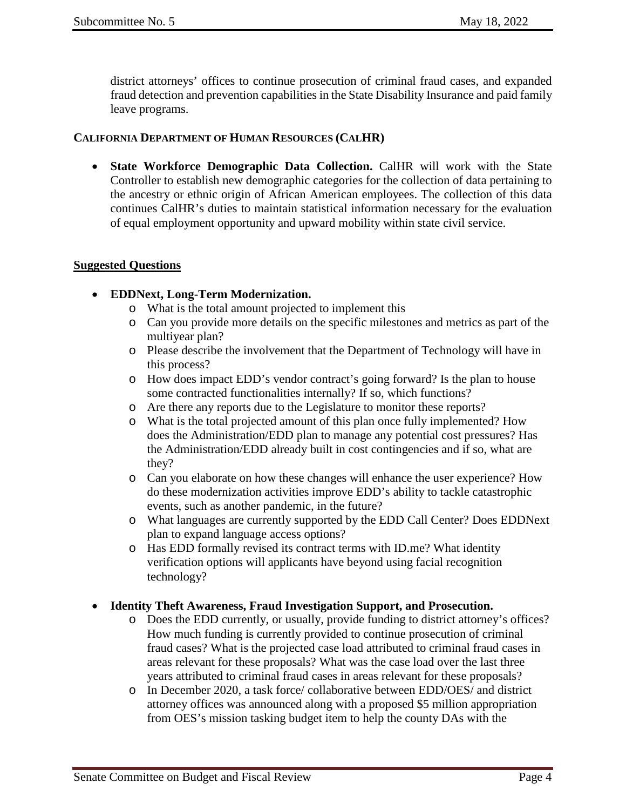district attorneys' offices to continue prosecution of criminal fraud cases, and expanded fraud detection and prevention capabilities in the State Disability Insurance and paid family leave programs.

#### **CALIFORNIA DEPARTMENT OF HUMAN RESOURCES (CALHR)**

• **State Workforce Demographic Data Collection.** CalHR will work with the State Controller to establish new demographic categories for the collection of data pertaining to the ancestry or ethnic origin of African American employees. The collection of this data continues CalHR's duties to maintain statistical information necessary for the evaluation of equal employment opportunity and upward mobility within state civil service.

#### **Suggested Questions**

#### • **EDDNext, Long-Term Modernization.**

- o What is the total amount projected to implement this
- o Can you provide more details on the specific milestones and metrics as part of the multiyear plan?
- o Please describe the involvement that the Department of Technology will have in this process?
- o How does impact EDD's vendor contract's going forward? Is the plan to house some contracted functionalities internally? If so, which functions?
- o Are there any reports due to the Legislature to monitor these reports?
- o What is the total projected amount of this plan once fully implemented? How does the Administration/EDD plan to manage any potential cost pressures? Has the Administration/EDD already built in cost contingencies and if so, what are they?
- o Can you elaborate on how these changes will enhance the user experience? How do these modernization activities improve EDD's ability to tackle catastrophic events, such as another pandemic, in the future?
- o What languages are currently supported by the EDD Call Center? Does EDDNext plan to expand language access options?
- o Has EDD formally revised its contract terms with ID.me? What identity verification options will applicants have beyond using facial recognition technology?

#### • **Identity Theft Awareness, Fraud Investigation Support, and Prosecution.**

- o Does the EDD currently, or usually, provide funding to district attorney's offices? How much funding is currently provided to continue prosecution of criminal fraud cases? What is the projected case load attributed to criminal fraud cases in areas relevant for these proposals? What was the case load over the last three years attributed to criminal fraud cases in areas relevant for these proposals?
- o In December 2020, a task force/ collaborative between EDD/OES/ and district attorney offices was announced along with a proposed \$5 million appropriation from OES's mission tasking budget item to help the county DAs with the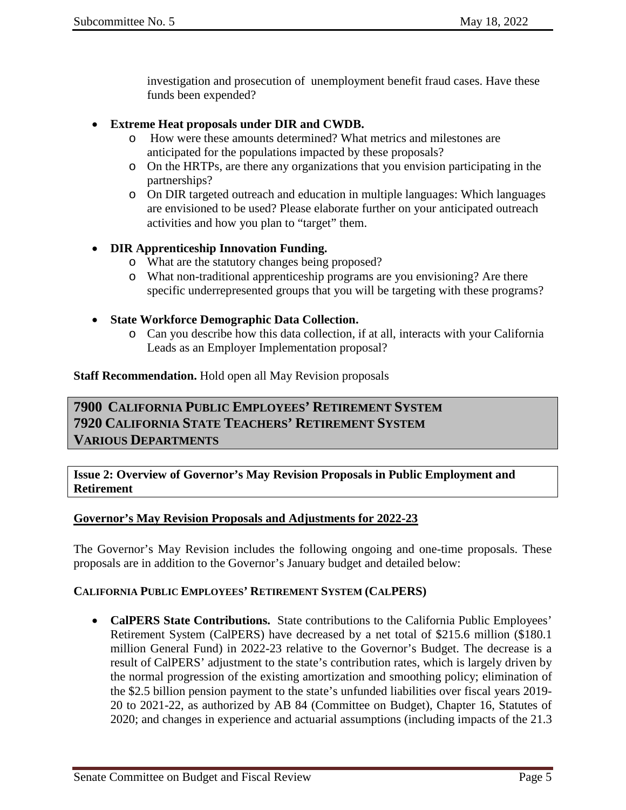investigation and prosecution of unemployment benefit fraud cases. Have these funds been expended?

- **Extreme Heat proposals under DIR and CWDB.**
	- o How were these amounts determined? What metrics and milestones are anticipated for the populations impacted by these proposals?
	- o On the HRTPs, are there any organizations that you envision participating in the partnerships?
	- o On DIR targeted outreach and education in multiple languages: Which languages are envisioned to be used? Please elaborate further on your anticipated outreach activities and how you plan to "target" them.

#### • **DIR Apprenticeship Innovation Funding.**

- o What are the statutory changes being proposed?
- o What non-traditional apprenticeship programs are you envisioning? Are there specific underrepresented groups that you will be targeting with these programs?
- **State Workforce Demographic Data Collection.**
	- o Can you describe how this data collection, if at all, interacts with your California Leads as an Employer Implementation proposal?

**Staff Recommendation.** Hold open all May Revision proposals

## <span id="page-4-2"></span><span id="page-4-1"></span><span id="page-4-0"></span>**7900 CALIFORNIA PUBLIC EMPLOYEES' RETIREMENT SYSTEM 7920 CALIFORNIA STATE TEACHERS' RETIREMENT SYSTEM VARIOUS DEPARTMENTS**

<span id="page-4-3"></span>**Issue 2: Overview of Governor's May Revision Proposals in Public Employment and Retirement**

#### **Governor's May Revision Proposals and Adjustments for 2022-23**

The Governor's May Revision includes the following ongoing and one-time proposals. These proposals are in addition to the Governor's January budget and detailed below:

#### **CALIFORNIA PUBLIC EMPLOYEES' RETIREMENT SYSTEM (CALPERS)**

• **CalPERS State Contributions.** State contributions to the California Public Employees' Retirement System (CalPERS) have decreased by a net total of \$215.6 million (\$180.1 million General Fund) in 2022-23 relative to the Governor's Budget. The decrease is a result of CalPERS' adjustment to the state's contribution rates, which is largely driven by the normal progression of the existing amortization and smoothing policy; elimination of the \$2.5 billion pension payment to the state's unfunded liabilities over fiscal years 2019- 20 to 2021-22, as authorized by AB 84 (Committee on Budget), Chapter 16, Statutes of 2020; and changes in experience and actuarial assumptions (including impacts of the 21.3